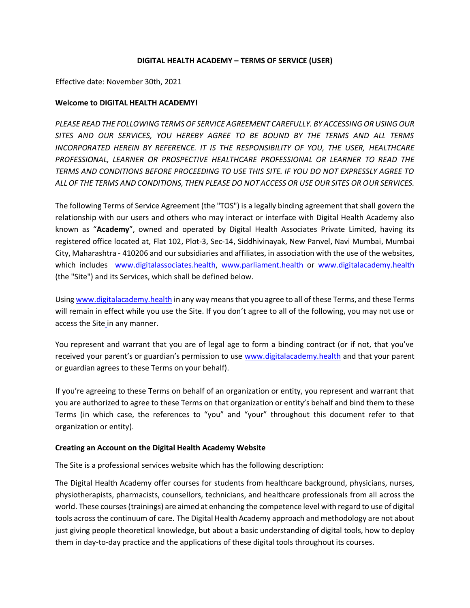### **DIGITAL HEALTH ACADEMY – TERMS OF SERVICE (USER)**

Effective date: November 30th, 2021

### **Welcome to DIGITAL HEALTH ACADEMY!**

*PLEASE READ THE FOLLOWING TERMS OF SERVICE AGREEMENT CAREFULLY. BY ACCESSING OR USING OUR SITES AND OUR SERVICES, YOU HEREBY AGREE TO BE BOUND BY THE TERMS AND ALL TERMS INCORPORATED HEREIN BY REFERENCE. IT IS THE RESPONSIBILITY OF YOU, THE USER, HEALTHCARE PROFESSIONAL, LEARNER OR PROSPECTIVE HEALTHCARE PROFESSIONAL OR LEARNER TO READ THE TERMS AND CONDITIONS BEFORE PROCEEDING TO USE THIS SITE. IF YOU DO NOT EXPRESSLY AGREE TO ALL OF THE TERMS AND CONDITIONS, THEN PLEASE DO NOT ACCESS OR USE OUR SITES OR OUR SERVICES.* 

The following Terms of Service Agreement (the "TOS") is a legally binding agreement that shall govern the relationship with our users and others who may interact or interface with Digital Health Academy also known as "**Academy**", owned and operated by Digital Health Associates Private Limited, having its registered office located at, Flat 102, Plot-3, Sec-14, Siddhivinayak, New Panvel, Navi Mumbai, Mumbai City, Maharashtra - 410206 and our subsidiaries and affiliates, in association with the use of the websites, which includes [www.digitalassociates.health,](http://www.digitalassociates.health/) [www.parliament.health](http://www.parliament.health/) or [www.digitalacademy.health](http://www.digitalacademy.health./) (the "Site") and its Services, which shall be defined below.

Using [www.digitalacademy.health](http://www.digitalacademy.health./) in any way means that you agree to all of these Terms, and these Terms will remain in effect while you use [the](http://www.digitalassociates.health/) Site. If you don't agree to all of the following, you may not use or access [the](http://www.digitalassociates.health/) Site in any manner.

You represent and warrant that you are of legal age to form a binding contract (or if not, that you've received your parent's or guardian's permission to use [www.digitalacademy.health](http://www.digitalacademy.health./) and that your parent or guardian agrees to these Terms on your behalf).

If you're agreeing to these Terms on behalf of an organization or entity, you represent and warrant that you are authorized to agree to these Terms on that organization or entity's behalf and bind them to these Terms (in which case, the references to "you" and "your" throughout this document refer to that organization or entity).

## **Creating an Account on the Digital Health Academy Website**

The Site is a professional services website which has the following description:

The Digital Health Academy offer courses for students from healthcare background, physicians, nurses, physiotherapists, pharmacists, counsellors, technicians, and healthcare professionals from all across the world. These courses (trainings) are aimed at enhancing the competence level with regard to use of digital tools across the continuum of care. The Digital Health Academy approach and methodology are not about just giving people theoretical knowledge, but about a basic understanding of digital tools, how to deploy them in day-to-day practice and the applications of these digital tools throughout its courses.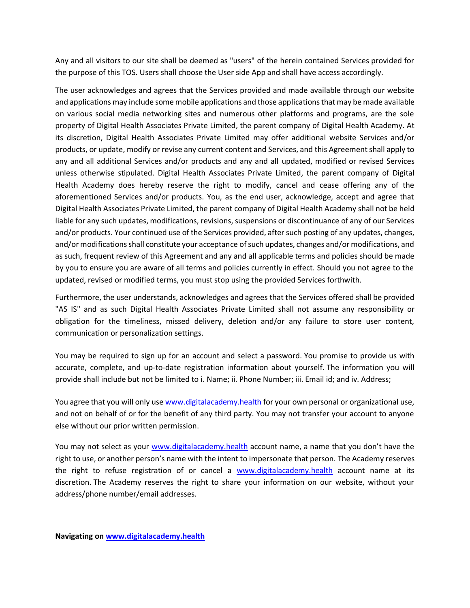Any and all visitors to our site shall be deemed as "users" of the herein contained Services provided for the purpose of this TOS. Users shall choose the User side App and shall have access accordingly.

The user acknowledges and agrees that the Services provided and made available through our website and applications may include some mobile applications and those applications that may be made available on various social media networking sites and numerous other platforms and programs, are the sole property of Digital Health Associates Private Limited, the parent company of Digital Health Academy. At its discretion, Digital Health Associates Private Limited may offer additional website Services and/or products, or update, modify or revise any current content and Services, and this Agreement shall apply to any and all additional Services and/or products and any and all updated, modified or revised Services unless otherwise stipulated. Digital Health Associates Private Limited, the parent company of Digital Health Academy does hereby reserve the right to modify, cancel and cease offering any of the aforementioned Services and/or products. You, as the end user, acknowledge, accept and agree that Digital Health Associates Private Limited, the parent company of Digital Health Academy shall not be held liable for any such updates, modifications, revisions, suspensions or discontinuance of any of our Services and/or products. Your continued use of the Services provided, after such posting of any updates, changes, and/or modifications shall constitute your acceptance of such updates, changes and/or modifications, and as such, frequent review of this Agreement and any and all applicable terms and policies should be made by you to ensure you are aware of all terms and policies currently in effect. Should you not agree to the updated, revised or modified terms, you must stop using the provided Services forthwith.

Furthermore, the user understands, acknowledges and agrees that the Services offered shall be provided "AS IS" and as such Digital Health Associates Private Limited shall not assume any responsibility or obligation for the timeliness, missed delivery, deletion and/or any failure to store user content, communication or personalization settings.

You may be required to sign up for an account and select a password. You promise to provide us with accurate, complete, and up-to-date registration information about yourself. The information you will provide shall include but not be limited to i. Name; ii. Phone Number; iii. Email id; and iv. Address;

You agree that you will only us[e www.digitalacademy.health](http://www.digitalacademy.health./) for your own personal or organizational use, and not on behalf of or for the benefit of any third party. You may not transfer your account to anyone else without our prior written permission.

You may not select as your [www.digitalacademy.health](http://www.digitalacademy.health./) account name, a name that you don't have the right to use, or another person's name with the intent to impersonate that person. The Academy reserves the right to refuse registration of or cancel a [www.digitalacademy.health](http://www.digitalacademy.health./) account name at its discretion. The Academy reserves the right to share your information on our website, without your address/phone number/email addresses.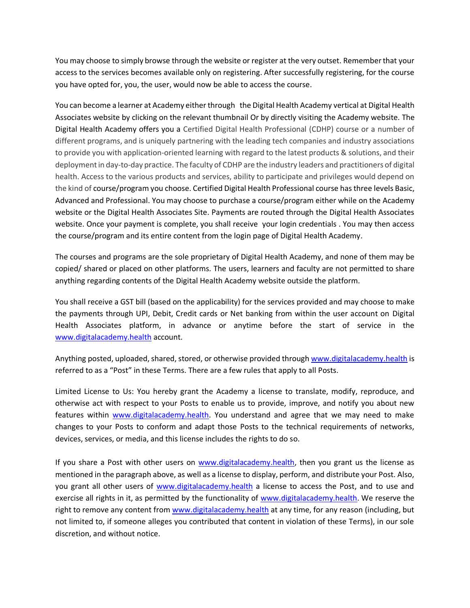You may choose to simply browse through the website or register at the very outset. Remember that your access to the services becomes available only on registering. After successfully registering, for the course you have opted for, you, the user, would now be able to access the course.

You can become a learner at Academy either through the Digital Health Academy vertical at Digital Health Associates website by clicking on the relevant thumbnail Or by directly visiting the Academy website. The Digital Health Academy offers you a Certified Digital Health Professional (CDHP) course or a number of different programs, and is uniquely partnering with the leading tech companies and industry associations to provide you with application-oriented learning with regard to the latest products & solutions, and their deployment in day-to-day practice. The faculty of CDHP are the industry leaders and practitioners of digital health. Access to the various products and services, ability to participate and privileges would depend on the kind of course/program you choose. Certified Digital Health Professional course has three levels Basic, Advanced and Professional. You may choose to purchase a course/program either while on the Academy website or the Digital Health Associates Site. Payments are routed through the Digital Health Associates website. Once your payment is complete, you shall receive your login credentials . You may then access the course/program and its entire content from the login page of Digital Health Academy.

The courses and programs are the sole proprietary of Digital Health Academy, and none of them may be copied/ shared or placed on other platforms. The users, learners and faculty are not permitted to share anything regarding contents of the Digital Health Academy website outside the platform.

You shall receive a GST bill (based on the applicability) for the services provided and may choose to make the payments through UPI, Debit, Credit cards or Net banking from within the user account on Digital Health Associates platform, in advance or anytime before the start of service in the [www.digitalacademy.health](http://www.digitalacademy.health./) account.

Anything posted, uploaded, shared, stored, or otherwise provided throug[h www.digitalacademy.health](http://www.digitalacademy.health./) is referred to as a "Post" in these Terms. There are a few rules that apply to all Posts.

Limited License to Us: You hereby grant the Academy a license to translate, modify, reproduce, and otherwise act with respect to your Posts to enable us to provide, improve, and notify you about new features within [www.digitalacademy.health.](http://www.digitalacademy.health./) You understand and agree that we may need to make changes to your Posts to conform and adapt those Posts to the technical requirements of networks, devices, services, or media, and this license includes the rights to do so.

If you share a Post with other users on [www.digitalacademy.health,](http://www.digitalacademy.health./) then you grant us the license as mentioned in the paragraph above, as well as a license to display, perform, and distribute your Post. Also, you grant all other users of [www.digitalacademy.health](http://www.digitalacademy.health./) a license to access the Post, and to use and exercise all rights in it, as permitted by the functionality of [www.digitalacademy.health.](http://www.digitalacademy.health./) We reserve the right to remove any content from [www.digitalacademy.health](http://www.digitalacademy.health./) at any time, for any reason (including, but not limited to, if someone alleges you contributed that content in violation of these Terms), in our sole discretion, and without notice.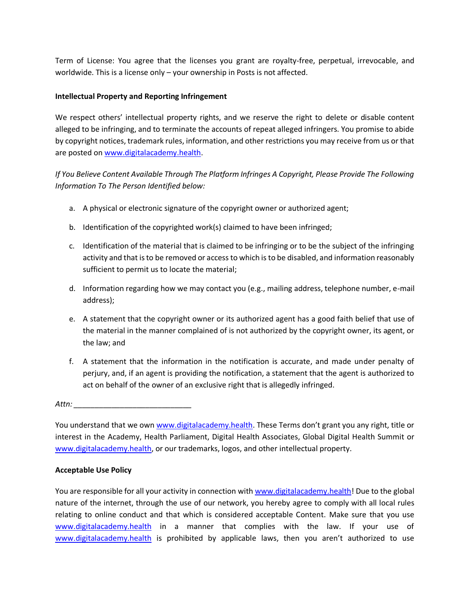Term of License: You agree that the licenses you grant are royalty-free, perpetual, irrevocable, and worldwide. This is a license only – your ownership in Posts is not affected.

## **Intellectual Property and Reporting Infringement**

We respect others' intellectual property rights, and we reserve the right to delete or disable content alleged to be infringing, and to terminate the accounts of repeat alleged infringers. You promise to abide by copyright notices, trademark rules, information, and other restrictions you may receive from us or that are posted on [www.digitalacademy.health.](http://www.digitalacademy.health./)

# *If You Believe Content Available Through The Platform Infringes A Copyright, Please Provide The Following Information To The Person Identified below:*

- a. A physical or electronic signature of the copyright owner or authorized agent;
- b. Identification of the copyrighted work(s) claimed to have been infringed;
- c. Identification of the material that is claimed to be infringing or to be the subject of the infringing activity and that is to be removed or access to which is to be disabled, and information reasonably sufficient to permit us to locate the material;
- d. Information regarding how we may contact you (e.g., mailing address, telephone number, e-mail address);
- e. A statement that the copyright owner or its authorized agent has a good faith belief that use of the material in the manner complained of is not authorized by the copyright owner, its agent, or the law; and
- f. A statement that the information in the notification is accurate, and made under penalty of perjury, and, if an agent is providing the notification, a statement that the agent is authorized to act on behalf of the owner of an exclusive right that is allegedly infringed.

*Attn: \_\_\_\_\_\_\_\_\_\_\_\_\_\_\_\_\_\_\_\_\_\_\_\_\_\_\_\_*

You understand that we own [www.digitalacademy.health](http://www.digitalacademy.health./). These Terms don't grant you any right, title or interest in the Academy, Health Parliament, Digital Health Associates, Global Digital Health Summit or [www.digitalacademy.health,](http://www.digitalacademy.health./) or our trademarks, logos, and other intellectual property.

## **Acceptable Use Policy**

You are responsible for all your activity in connection with [www.digitalacademy.health!](http://www.digitalacademy.health./) Due to the global nature of the internet, through the use of our network, you hereby agree to comply with all local rules relating to online conduct and that which is considered acceptable Content. Make sure that you use [www.digitalacademy.health](http://www.digitalacademy.health./) in a manner that complies with the law. If your use of [www.digitalacademy.health](http://www.digitalacademy.health./) is prohibited by applicable laws, then you aren't authorized to use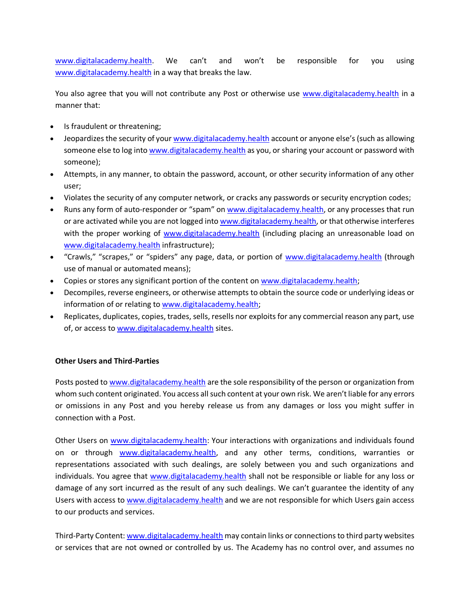[www.digitalacademy.health](http://www.digitalacademy.health./). We can't and won't be responsible for you using [www.digitalacademy.health](http://www.digitalacademy.health./) in a way that breaks the law.

You also agree that you will not contribute any Post or otherwise use [www.digitalacademy.health](http://www.digitalacademy.health./) in a manner that:

- Is fraudulent or threatening;
- Jeopardizes the security of you[r www.digitalacademy.health](http://www.digitalacademy.health./) account or anyone else's (such as allowing someone else to log int[o www.digitalacademy.health](http://www.digitalacademy.health./) as you, or sharing your account or password with someone);
- Attempts, in any manner, to obtain the password, account, or other security information of any other user;
- Violates the security of any computer network, or cracks any passwords or security encryption codes;
- Runs any form of auto-responder or "spam" on [www.digitalacademy.health,](http://www.digitalacademy.health./) or any processes that run or are activated while you are not logged int[o www.digitalacademy.health,](http://www.digitalacademy.health./) or that otherwise interferes with the proper working of [www.digitalacademy.health](http://www.digitalacademy.health./) (including placing an unreasonable load on [www.digitalacademy.health](http://www.digitalacademy.health./) infrastructure);
- "Crawls," "scrapes," or "spiders" any page, data, or portion of [www.digitalacademy.health](http://www.digitalacademy.health./) (through use of manual or automated means);
- Copies or stores any significant portion of the content on [www.digitalacademy.health;](http://www.digitalacademy.health./)
- Decompiles, reverse engineers, or otherwise attempts to obtain the source code or underlying ideas or information of or relating to [www.digitalacademy.health;](http://www.digitalacademy.health./)
- Replicates, duplicates, copies, trades, sells, resells nor exploits for any commercial reason any part, use of, or access to [www.digitalacademy.health](http://www.digitalacademy.health./) sites.

## **Other Users and Third-Parties**

Posts posted t[o www.digitalacademy.health](http://www.digitalacademy.health./) are the sole responsibility of the person or organization from whom such content originated. You access all such content at your own risk. We aren't liable for any errors or omissions in any Post and you hereby release us from any damages or loss you might suffer in connection with a Post.

Other Users on [www.digitalacademy.health:](http://www.digitalacademy.health./) Your interactions with organizations and individuals found on or through [www.digitalacademy.health,](http://www.digitalacademy.health./) and any other terms, conditions, warranties or representations associated with such dealings, are solely between you and such organizations and individuals. You agree that [www.digitalacademy.health](http://www.digitalacademy.health./) shall not be responsible or liable for any loss or damage of any sort incurred as the result of any such dealings. We can't guarantee the identity of any Users with access to [www.digitalacademy.health](http://www.digitalacademy.health./) and we are not responsible for which Users gain access to our products and services.

Third-Party Content[: www.digitalacademy.health](http://www.digitalacademy.health./) may contain links or connections to third party websites or services that are not owned or controlled by us. The Academy has no control over, and assumes no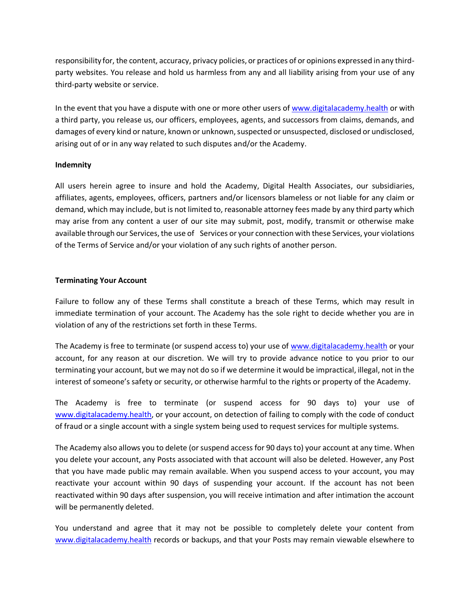responsibility for, the content, accuracy, privacy policies, or practices of or opinions expressed in any thirdparty websites. You release and hold us harmless from any and all liability arising from your use of any third-party website or service.

In the event that you have a dispute with one or more other users of [www.digitalacademy.health](http://www.digitalacademy.health./) or with a third party, you release us, our officers, employees, agents, and successors from claims, demands, and damages of every kind or nature, known or unknown, suspected or unsuspected, disclosed or undisclosed, arising out of or in any way related to such disputes and/or the Academy.

## **Indemnity**

All users herein agree to insure and hold the Academy, Digital Health Associates, our subsidiaries, affiliates, agents, employees, officers, partners and/or licensors blameless or not liable for any claim or demand, which may include, but is not limited to, reasonable attorney fees made by any third party which may arise from any content a user of our site may submit, post, modify, transmit or otherwise make available through our Services, the use of Services or your connection with these Services, your violations of the Terms of Service and/or your violation of any such rights of another person.

## **Terminating Your Account**

Failure to follow any of these Terms shall constitute a breach of these Terms, which may result in immediate termination of your account. The Academy has the sole right to decide whether you are in violation of any of the restrictions set forth in these Terms.

The Academy is free to terminate (or suspend access to) your use of [www.digitalacademy.health](http://www.digitalacademy.health./) or your account, for any reason at our discretion. We will try to provide advance notice to you prior to our terminating your account, but we may not do so if we determine it would be impractical, illegal, not in the interest of someone's safety or security, or otherwise harmful to the rights or property of the Academy.

The Academy is free to terminate (or suspend access for 90 days to) your use of [www.digitalacademy.health,](http://www.digitalacademy.health./) or your account, on detection of failing to comply with the code of conduct of fraud or a single account with a single system being used to request services for multiple systems.

The Academy also allows you to delete (or suspend access for 90 days to) your account at any time. When you delete your account, any Posts associated with that account will also be deleted. However, any Post that you have made public may remain available. When you suspend access to your account, you may reactivate your account within 90 days of suspending your account. If the account has not been reactivated within 90 days after suspension, you will receive intimation and after intimation the account will be permanently deleted.

You understand and agree that it may not be possible to completely delete your content from [www.digitalacademy.health](http://www.digitalacademy.health./) records or backups, and that your Posts may remain viewable elsewhere to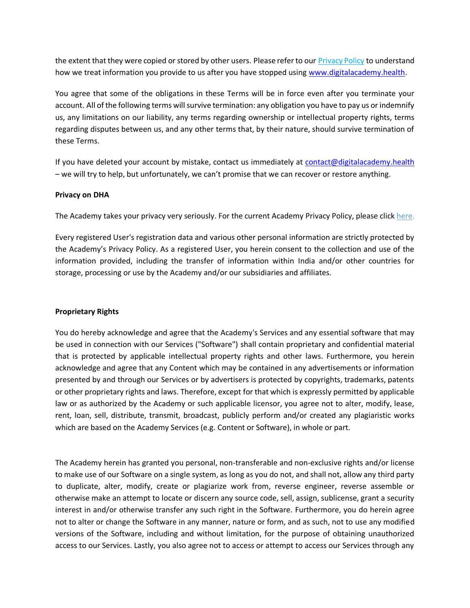the extent that they were copied or stored by other users. Please refer to our [Privacy Policy](https://www.substack.com/privacy) to understand how we treat information you provide to us after you have stopped using [www.digitalacademy.health.](http://www.digitalacademy.health./)

You agree that some of the obligations in these Terms will be in force even after you terminate your account. All of the following terms will survive termination: any obligation you have to pay us or indemnify us, any limitations on our liability, any terms regarding ownership or intellectual property rights, terms regarding disputes between us, and any other terms that, by their nature, should survive termination of these Terms.

If you have deleted your account by mistake, contact us immediately at [contact@digitalacademy.health](mailto:contact@digitalacademy.health) – we will try to help, but unfortunately, we can't promise that we can recover or restore anything.

### **Privacy on DHA**

The Academy takes your privacy very seriously. For the current Academy Privacy Policy, please click [here.](https://www.substack.com/privacy)

Every registered User's registration data and various other personal information are strictly protected by the Academy's Privacy Policy. As a registered User, you herein consent to the collection and use of the information provided, including the transfer of information within India and/or other countries for storage, processing or use by the Academy and/or our subsidiaries and affiliates.

#### **Proprietary Rights**

You do hereby acknowledge and agree that the Academy's Services and any essential software that may be used in connection with our Services ("Software") shall contain proprietary and confidential material that is protected by applicable intellectual property rights and other laws. Furthermore, you herein acknowledge and agree that any Content which may be contained in any advertisements or information presented by and through our Services or by advertisers is protected by copyrights, trademarks, patents or other proprietary rights and laws. Therefore, except for that which is expressly permitted by applicable law or as authorized by the Academy or such applicable licensor, you agree not to alter, modify, lease, rent, loan, sell, distribute, transmit, broadcast, publicly perform and/or created any plagiaristic works which are based on the Academy Services (e.g. Content or Software), in whole or part.

The Academy herein has granted you personal, non-transferable and non-exclusive rights and/or license to make use of our Software on a single system, as long as you do not, and shall not, allow any third party to duplicate, alter, modify, create or plagiarize work from, reverse engineer, reverse assemble or otherwise make an attempt to locate or discern any source code, sell, assign, sublicense, grant a security interest in and/or otherwise transfer any such right in the Software. Furthermore, you do herein agree not to alter or change the Software in any manner, nature or form, and as such, not to use any modified versions of the Software, including and without limitation, for the purpose of obtaining unauthorized access to our Services. Lastly, you also agree not to access or attempt to access our Services through any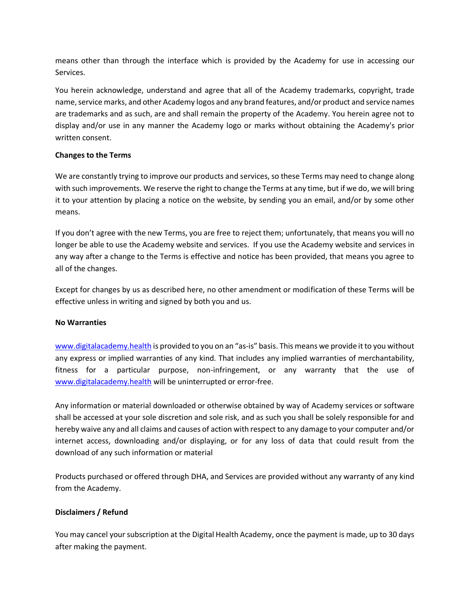means other than through the interface which is provided by the Academy for use in accessing our Services.

You herein acknowledge, understand and agree that all of the Academy trademarks, copyright, trade name, service marks, and other Academy logos and any brand features, and/or product and service names are trademarks and as such, are and shall remain the property of the Academy. You herein agree not to display and/or use in any manner the Academy logo or marks without obtaining the Academy's prior written consent.

## **Changes to the Terms**

We are constantly trying to improve our products and services, so these Terms may need to change along with such improvements. We reserve the right to change the Terms at any time, but if we do, we will bring it to your attention by placing a notice on the website, by sending you an email, and/or by some other means.

If you don't agree with the new Terms, you are free to reject them; unfortunately, that means you will no longer be able to use the Academy website and services. If you use the Academy website and services in any way after a change to the Terms is effective and notice has been provided, that means you agree to all of the changes.

Except for changes by us as described here, no other amendment or modification of these Terms will be effective unless in writing and signed by both you and us.

## **No Warranties**

[www.digitalacademy.health](http://www.digitalacademy.health./) is provided to you on an "as-is" basis. This means we provide it to you without any express or implied warranties of any kind. That includes any implied warranties of merchantability, fitness for a particular purpose, non-infringement, or any warranty that the use of [www.digitalacademy.health](http://www.digitalacademy.health./) will be uninterrupted or error-free.

Any information or material downloaded or otherwise obtained by way of Academy services or software shall be accessed at your sole discretion and sole risk, and as such you shall be solely responsible for and hereby waive any and all claims and causes of action with respect to any damage to your computer and/or internet access, downloading and/or displaying, or for any loss of data that could result from the download of any such information or material

Products purchased or offered through DHA, and Services are provided without any warranty of any kind from the Academy.

## **Disclaimers / Refund**

You may cancel your subscription at the Digital Health Academy, once the payment is made, up to 30 days after making the payment.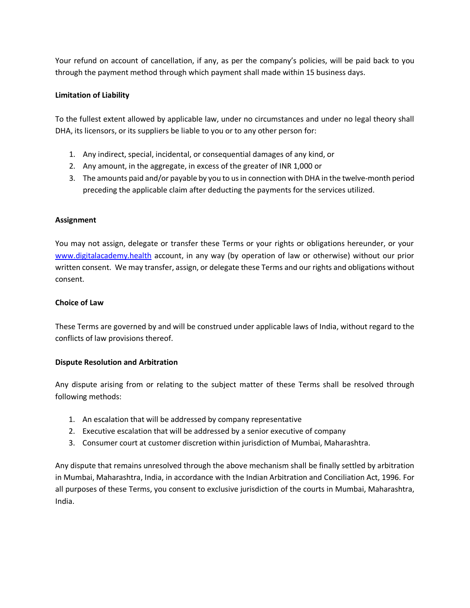Your refund on account of cancellation, if any, as per the company's policies, will be paid back to you through the payment method through which payment shall made within 15 business days.

## **Limitation of Liability**

To the fullest extent allowed by applicable law, under no circumstances and under no legal theory shall DHA, its licensors, or its suppliers be liable to you or to any other person for:

- 1. Any indirect, special, incidental, or consequential damages of any kind, or
- 2. Any amount, in the aggregate, in excess of the greater of INR 1,000 or
- 3. The amounts paid and/or payable by you to us in connection with DHA in the twelve-month period preceding the applicable claim after deducting the payments for the services utilized.

## **Assignment**

You may not assign, delegate or transfer these Terms or your rights or obligations hereunder, or your [www.digitalacademy.health](http://www.digitalacademy.health./) account, in any way (by operation of law or otherwise) without our prior written consent. We may transfer, assign, or delegate these Terms and our rights and obligations without consent.

## **Choice of Law**

These Terms are governed by and will be construed under applicable laws of India, without regard to the conflicts of law provisions thereof.

## **Dispute Resolution and Arbitration**

Any dispute arising from or relating to the subject matter of these Terms shall be resolved through following methods:

- 1. An escalation that will be addressed by company representative
- 2. Executive escalation that will be addressed by a senior executive of company
- 3. Consumer court at customer discretion within jurisdiction of Mumbai, Maharashtra.

Any dispute that remains unresolved through the above mechanism shall be finally settled by arbitration in Mumbai, Maharashtra, India, in accordance with the Indian Arbitration and Conciliation Act, 1996. For all purposes of these Terms, you consent to exclusive jurisdiction of the courts in Mumbai, Maharashtra, India.